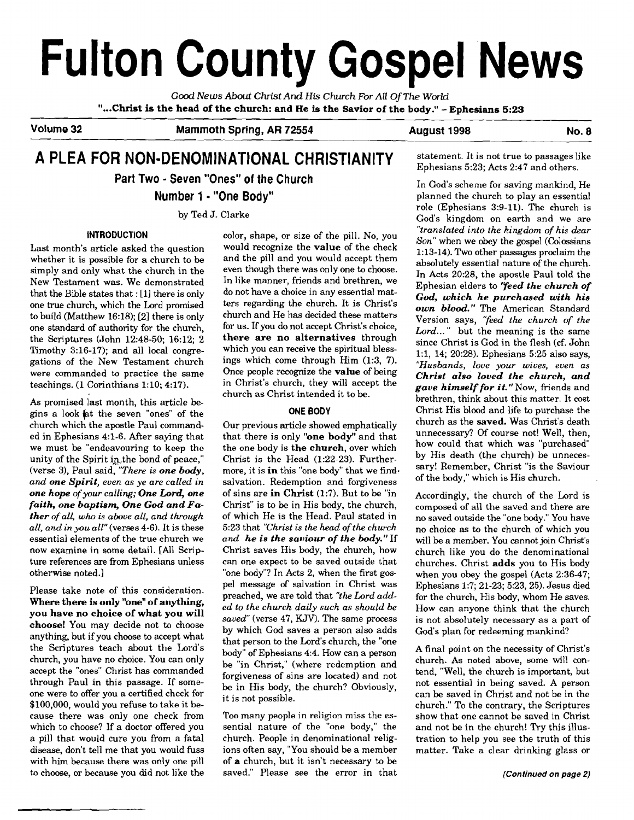# **Fulton County Gospel News**

Good News About Christ And His Church For All Of The World **"...Christ is the head of the church: and He is the Savior of the body."** - **Ephesians 5:23** 

Volume 32 **Mammoth Spring, AR 72554** August 1998

**No. 8** 

# **A PLEA FOR NON-DENOMINATIONAL CHRISTIANITY** statement. It is not true to passages like

**Part Two** - **Seven "Ones" of the Church** 

**Number 1** - **"One Body"** 

by Ted J. Clarke

# **INTRODUCTION**

Last month's article asked the question whether it is possible for a church to be simply and only what the church in the New Testament was. We demonstrated that the Bible states that : [1] there is only one true church, which the Lord promised to build (Matthew 16:18); [21 there is only one standard of authority for the church, the Scriptures (John 12:48-50; 16:12; 2 Timothy 3:16-17); and all local congregations of the New Testament church were commanded to practice the same teachings. (1 Corinthians 1:lO; 4:17).

As promised last month, this article begins a look fat the seven "ones" of the church which the apostle Paul commanded in Ephesians 4:l-6. After saying that we must be "endeavouring to keep the unity of the Spirit in the bond of peace," (verse 3), Paul said, *"There is one body, and one Spirit, even as ye are called in one hope of your calling; One Lord, one faith, one baptism, One God and Father of all, who is above all, and through all, and in you all"* (verses 4-6). It is these essential elements of the true church we now examine in some detail. [All Scripture references **are** from Ephesians unless otherwise noted.]

Please take note of this consideration. **Where there is only "one" of anything, you have no choice of what you will choose!** You may decide not to choose anything, but if you choose to accept what the Scriptures teach about the Lord's church, you have no choice. You can only accept the "ones" Christ has commanded through Paul in this passage. If someone were to offer you a certified check for \$100,000, would you refuse to take it be-<br>cause there was only one check from cause there was only one check from Too many people in religion miss the es-<br>which to choose? If a doctor offered you sential nature of the "one body," the and not be in the church! Try this illusa pill that would cure you from a fatal church. People in denominational relig- tration to help you see the truth of this disease, don't tell me that you would fuss ions often say, "You should be a member matter. Take a clear drinking glass or with him because there was only one pill of a church, but it isn't necessary to be with him because there was only one pill of **a** church, but it isn't necessary to be to choose, or because you did not like the saved." Please see the error in that

color, shape, or size of the pill. No, you would recognize the **value** of the check and the pill and you would accept them even though there was only one to choose. In like manner. friends and brethren. we do not have a choice in any essential matters regarding the church. It is Christ's church and He has decided these matters for us. If you do not accept Christ's choice, **there are no alternatives** through which you can receive the spiritual blessings which come through Him (1:3, 7). Once people recognize the **value** of being in Christ's church, they will accept the church as Christ intended it to be.

# **ONE BODY**

Our previous article showed emphatically that there is only **"one body"** and that the one body is **the church,** over which Christ is the Head (1:22-23). Furthermore, it is in this "one **body"** that we findsalvation. Redemption and forgiveness of sins are **in Christ** (1:7). But to be "in Christ" is to be in His body, the church, of which He is the Head. Paul stated in 5:23 that *"Christ is the head of the church and he is the saviour of the body."* If Christ saves His body, the church, how can one expect to be saved outside that "one body"? In Acts 2, when the first gospel message of salvation in Christ was preached, we are told that *"the Lord added to the church daily such as should be saved* (verse 47, *KJV).* The same process by which God saves a person also adds that person to the Lord's church, the "one body" of Ephesians 4:4. How can a person be "in Christ," (where redemption and forgiveness of sins are located) and not be in His body, the church? Obviously, it is not possible.

sential nature of the "one body," the and not be in the church! Try this illus-<br>church. People in denominational relig-<br>tration to help you see the truth of this to choose, or because you did not like the saved." Please see the error in that **(Continued on page 2)** <sup>*(Continued on page 2)*</sup>

Ephesians  $5:23$ ; Acts  $2:47$  and others.

In God's scheme for saving mankind, He planned the church to play an essential role (Ephesians 3:9-11). The church is God's kingdom on earth and we are *"translated into the kingdom of his dear Son"* when we obey the gospel (Colossians 1:13-14). Two other passages proclaim the absolutely essential nature of the church. In Acts 20:28, the apostle Paul told the Ephesian elders to *'reed the church of God, which he purchased with his own blood."* The American Standard Version says, *'Fed the church of the*  Lord..." but the meaning is the same since Christ is God in the flesh *(6.* John 1:1, 14; 20:28). Ephesians 5:25 also says, *"Husbands, love your wives, even as Christ also loved the church, and gave himself for it."* Now, friends and brethren, think about this matter. It cost Christ His blood and life to purchase the church as the **saved.** Was Christ's death unnecessary? Of course not! Well, then, how could that which was "purchased" by His death (the church) be unnecessary! Remember, Christ "is the Saviour of the body," which is His church.

Accordingly, the church of the Lord is composed of all the saved and there are no saved outside the "one body." You have no choice as to the church of which you will be a member. You cannot join Christ's church like you do the denominational churches. Christ **adds** you to His body when you obey the gospel (Acts 2:36-47; Ephesians 1:7; 21-23; 5:23,25). Jesus died for the church, His body, whom He saves. How can anyone think that the church is not absolutely necessary as a part of God's plan for redeeming mankind?

A final point on the necessity of Christ's church. As noted above, some will contend, "Well, the church is important, but not essential in being saved. A person can be saved in Christ and not be in the church." To the contrary, the Scriptures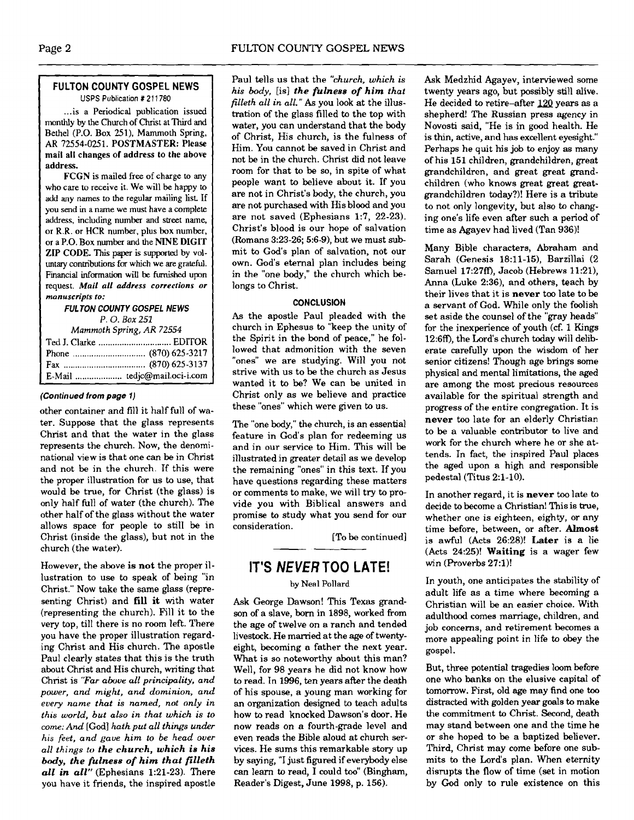# $e^e$ <br> $\overbrace{ }$ <br> $\overbrace{ }$ <br> $\overbrace{ }$ <br> $\overbrace{ }$ <br> $\overbrace{ }$ <br> $\overbrace{ }$ <br> $\overbrace{ }$ <br> $\overbrace{ }$ <br> $\overbrace{ }$ <br> $\overbrace{ }$ <br> $\overbrace{ }$ <br> $\overbrace{ }$ <br> $\overbrace{ }$ <br><br> $\overbrace{ }$ <br><br><br><br><br><br><br><br><br><br><br> **FULTON COUNTY GOSPEL NEWS USPS Publication # 211780**

... is a Periodical publication issued monthly by the Church of Christ at Third and Bethel (P.O. Box 251), Mammoth Spring, AR 72554-025 1. **POSTMASTER:** Please mail all changes of address to the above address.

FCGN is mailed free of charge to any who care to receive it. We will be happy to add any names to the regular mailing list If you send in a name we must have a complete address, including number and street name, or R.R. or HCR number, plus **box** number, or a P.O. Box number and the NINE DIGIT **ZIP CODE.** This **paper** is supported by voluntary conmbutions for which we are grateful. Financial information will be Furnished upon request. **Mail all address corrections or manuscripts to:** 

# **FUL TON COUNTY GOSPEL NEWS**

*P.* 0. *Box 251* 

| Mammoth Spring, AR 72554 |                              |  |
|--------------------------|------------------------------|--|
|                          |                              |  |
|                          |                              |  |
|                          |                              |  |
|                          | E-Mail  tedjc@mail.oci-i.com |  |

#### **(Continued from page 1)**

other container and fill it half full of water. Suppose that the glass represents Christ and that the water in the glass represents the church. Now, the denominational view is that one can be in Christ and not be in the church. If this were the proper illustration for us to use, that would be true, for Christ (the glass) is only half full of water (the church). The other half of the glass without the water allows space for people to still be in Christ (inside the glass), but not in the church (the water).

However, the above is **not** the proper illustration to use to speak of being "in Christ." Now take the same glass (representing Christ) and fill **it** with water (representing the church). Fill it to the very top, till there is no room left. There you have the proper illustration regarding Christ and His church. The apostle Paul clearly states that this is the truth about Christ and His church, writing that Christ is *"Far above all principality, and power, and might, and dominion, and every name that is named, not only in this world, but also in that which is to come: And* [God] *hath put all things under his feet, and gave him to be head over all things to the church, which is his body, the fulness* **of** *him that filleth all in all"* (Ephesians 1:21-23). There you have it friends, the inspired apostle Paul tells us that the *"church, which is his body,* [is] *the fulness* **of** *him that filleth all in all." As* you look at the illustration of the glass filled to the top with water, you can understand that the body of Christ, His church, is the fulness of Him. You cannot be saved in Christ and not be in the church. Christ did not leave room for that to be so, in spite of what people want to believe about it. If you are not in Christ's body, the church, you are not purchased with His blood and you are not saved (Ephesians 1:7, 22-23). Christ's blood is our hope of salvation (Romans 3:23-26; 5:6-9), but we must submit to God's plan of salvation, not our own. God's eternal plan includes being in the "one body," the church which belongs to Christ.

# **CONCLUSION**

As the apostle Paul pleaded with the church in Ephesus to "keep the unity of the Spirit in the bond of peace," he followed that admonition with the seven "ones" we are studying. Will you not strive with us to be the church as Jesus wanted it to be? We can be united in Christ only as we believe and practice these "ones" which were given to us.

The "one body," the church, is an essential feature in God's plan for redeeming us and in our service to Him. This will be illustrated in greater detail **as** we develop the remaining "ones" in this text. If you have questions regarding these matters or comments to make, we will try to provide you with Biblical answers and promise to study what you send for our consideration.

[To be continued]

# **IT'S NEVER TOO LATE!**

by Neal Pollard

Ask George Dawson! This Texas grandson of a slave, born in 1898, worked from the age of twelve on a ranch and tended livestock. He married at the age of twentyeight, becoming a father the next year. What is so noteworthy about this man? Well, for 98 years he did not know how to read. In 1996, ten years after the death of his spouse, a young man working for an organization designed to teach adults how to read knocked Dawson's door. He now reads on a fourth-grade level and even reads the Bible aloud at church services. He sums this remarkable story up by saying, "I just figured if everybody else can learn to read, I could too" (Bingham, Reader's Digest, June 1998, p. 156).

Ask Medzhid Agayev, interviewed some twenty years ago, but possibly still alive. He decided to retire-after  $120$  years as a shepherd! The Russian press agency in Novosti said, "He is in good health. He is thin, active, and has excellent eyesight." Perhaps he quit his job to enjoy as many of his 151 children, grandchildren, great grandchildren, and great great grandchildren (who knows great great greatgrandchildren today?)! Here is a tribute to not only longevity, but also to changing one's life even after such a period of time as Agayev had lived (Tan 936)!

Many Bible characters, Abraham and Sarah (Genesis 18:ll-15), Barzillai (2 Samuel 17:27ff), Jacob (Hebrews 11:21), Anna (Luke 2:36), and others, teach by their lives that it is **never** too late to be a servant of God. While only the foolish set aside the counsel of the "gray heads" for the inexperience of youth (cf. 1 Kings 12:6ff), the Lord's church today will deliberate carefully upon the wisdom of her senior citizens! Though age brings some physical and mental limitations, the aged are among the most precious resources available for the spiritual strength and progress of the entire congregation. It is **never** too late for an elderly Christian to be a valuable contributor to live and work for the church where he or she attends. In fact, the inspired Paul places the aged upon a high and responsible pedestal (Titus 2:l-10).

In another regard, it is **never** too late **to**  decide to become a Christian! This is true, whether one is eighteen, eighty, or any time before, between, or after. **Almost**  is awful (Acts 26:28)! **Later** is a lie (Acts 24:25)! **Waiting** is a wager few win (Proverbs 27:1)!

In youth, one anticipates the stability of adult life as a time where becoming a Christian will be an easier choice. With adulthood comes marriage, children, and job concerns, and retirement becomes a more appealing point in life to obey the gospel.

But, three potential tragedies loom before one who banks on the elusive capital of tomorrow. First, old age may find one too distracted with golden year goals to make the commitment to Christ. Second, death may stand between one and the time he or she hoped to be a baptized believer. Third, Christ may come before one submits to the Lord's plan. When eternity disrupts the flow of time (set in motion by God only to rule existence on this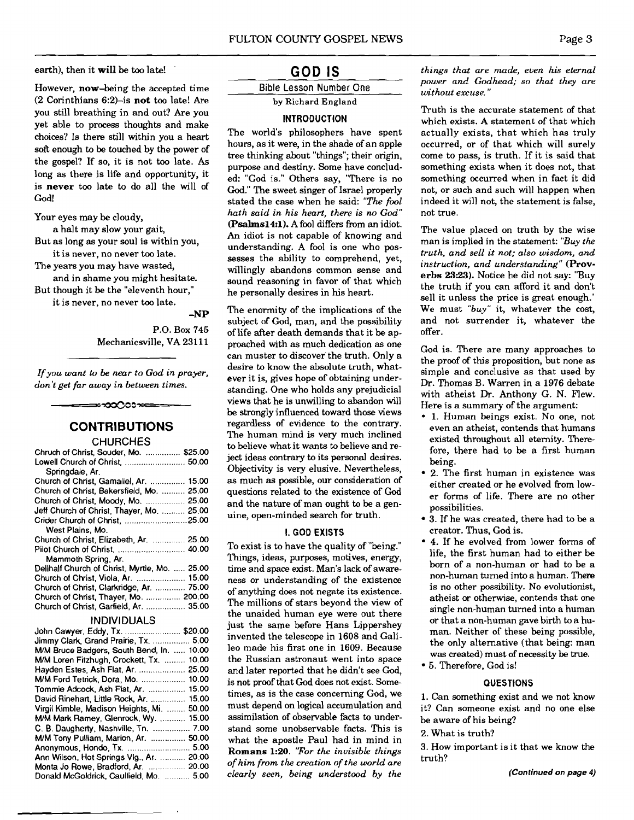However, now-being the accepted time<br>
(2 Corinthians 6:2)-is **not** too late! Are<br> **WARIC EXCUPE BY Richard England** (2 Corinthians 6:2)-is not too late! Are you still breathing in and out? Are you **Truth is the accurate statement of that** Truth is the accurate statement of that which is the accurate statement of that which is the accurate statement of that which  $\frac{1}{2}$ yet able to process thoughts and make<br>The world's philosophers have spent actually exists, that which has truly<br>choices? Is them still within you a boom. The world's philosophers have spent actually exists, that which has the gospel? If so, it is not too late. As **the interest of the If it is not too late.** As purpose and destiny. Some have conclud-

Your eyes may be cloudy,

a halt may slow your gait,

But as long as your soul is within you, it is never, no never too late.

The years you may have wasted,

and in shame you might hesitate. But though it be the "eleventh hour," it is never, no never too late.

**-NP** 

P.O. Box 745 Mechanicsville, VA 23111

*Ifyou want to be near to God in prayer, don't get far away in between times.* 

**CONTRIBUTIONS** 

≕∞ಯಿಂ⊶≔

# **CHURCHES**

| Chruch of Christ, Souder, Mo.  \$25.00        |
|-----------------------------------------------|
| Lowell Church of Christ,  50.00               |
| Springdale, Ar.                               |
| Church of Christ, Gamaliel, Ar.  15.00        |
| Church of Christ, Bakersfield, Mo.  25.00     |
| Church of Christ, Moody, Mo.  25.00           |
| Jeff Church of Christ, Thayer, Mo.  25.00     |
|                                               |
| West Plains, Mo.                              |
| Church of Christ, Elizabeth, Ar.  25.00       |
|                                               |
| Mammoth Spring, Ar.                           |
| Dellhalf Church of Christ, Myrtle, Mo.  25.00 |
| Church of Christ, Viola, Ar.  15.00           |
| Church of Christ, Clarkridge, Ar.  75.00      |
| Church of Christ, Thayer, Mo.  200.00         |
| Church of Christ, Garlield, Ar.  35.00        |

#### INDIVIDUALS

| John Cawyer, Eddy, Tx.  \$20.00          |       |
|------------------------------------------|-------|
| Jimmy Clark, Grand Prairie, Tx.  5.00    |       |
| M/M Bruce Badgers, South Bend, In.       | 10.00 |
| M/M Loren Fitzhugh, Crockett, Tx.        | 10.00 |
| Hayden Estes, Ash Flat, Ar.              | 25.00 |
| M/M Ford Tetrick, Dora, Mo.              | 10.00 |
| Tommie Adcock, Ash Flat, Ar.             | 15.00 |
| David Rinehart, Little Rock, Ar.         | 15.00 |
| Virgil Kimble, Madison Heights, Mi.      | 50.00 |
| M/M Mark Ramey, Glenrock, Wy.            | 15.00 |
|                                          |       |
| M/M Tony Pulliam, Marion, Ar.  50.00     |       |
|                                          |       |
| Ann Wilson, Hot Springs Vlg., Ar.  20.00 |       |
| Monta Jo Rowe, Bradford, Ar.  20.00      |       |
| Donald McGoldrick, Caulfield, Mo.  5.00  |       |

choices? Is there still within you a heart The world's philosophers have spent actually exists, that which has truly<br>can example the behavior of that which will surely soft enough to be touched by the power of hours, as it were, in the shade of an apple occurred, or of that which will surely<br>tree thinking about "things"; their origin, come to pass, is truth. If it is said that long as there is life and opportunity, it ed: "God is." Others say, "There is no something occurred when in fact it did<br>is never too late to do all the will of God." The sweet singer of Israel properly not, or such and suc is **never** too late to do all the will of God." The sweet singer of Israel properly not, or such and such will happen when<br>God! God. Stated the case when he said: "The fool indeed it will not, the statement is false, stated the case when he said: "The fool *hath said in his heart, there is no God"*  (Psalmsl4:l). *A* fool differs from an idiot. An idiot is not capable of knowing and understanding. A fool is one who possesses the ability to comprehend, yet, willingly abandons common sense and sound reasoning in favor of that which he personally desires in his heart.

> The enormity of the implications of the subject of God, man, and the possibility of life after death demands that it be approached with as much dedication as one can muster to discover the truth. Only a desire to know the absolute truth, whatever it is, gives hope of obtaining understanding. One who holds any prejudicial views that he is unwilling to abandon will be strongly influenced toward those views regardless of evidence to the contrary. The human mind is very much inclined to believe what it wants to believe and reject ideas contrary to its personal desires. Objectivity is very elusive. Nevertheless, as much as possible, our consideration of questions related to the existence of God and the nature of man ought to be a genuine, open-minded search for truth.

## **I.** GOD EXISTS

To exist is to have the quality of "being." Things, ideas, purposes, motives, energy, time and space exist. Man's lack of awareness or understanding of the existence of anything does not negate its existence. The millions of stars beyond the view of the unaided human eye were out there just the same before Hans Lippershey invented the telescope in 1608 and Galileo made his first one in 1609. Because the Russian astronaut went into space and later reported that he didn't see God, is not proof that God does not exist. Sometimes, as is the case concerning God, we must depend on logical accumulation and assimilation of observable facts to understand some unobservable facts. This is what the apostle Paul had in mind in Romans 1:20. *"For the invisible things of him from the creation of the world are clearly seen, being understood by the* 

# earth), then it will be too late! GOD IS *things that are made, even his eternal power and Godhead; so that they are*

something exists when it does not, that<br>something occurred when in fact it did not true.

The value placed on truth by the wise man is implied in the statement: *"Buy the truth, and sell it not; also wisdom, and instruction, and understanding"* (Prov**erbs 2323).** Notice he did not say: "Buy the truth if you can afford it and don't sell it unless the price is great enough." We must *"buy"* it, whatever the cost, and not surrender it, whatever the offer.

God is. There are many approaches to the proof of this proposition, but none as simple and conclusive as that used by Dr. Thomas B. Warren in a 1976 debate with atheist Dr. Anthony G. N. Flew. Here is a summary of the argument:

- 1. Human beings exist. No one, not even an atheist, contends that humans existed throughout all eternity. Therefore, there had to be a first human being.
- 2. The first human in existence was either created or he evolved from lower forms of life. There are no other possibilities.
- 3. If he was created, there had to be a creator. Thus, God is.
- 4. If he evolved from lower forms of life, the first human had to either be born of a non-human or had to be a non-human turned into a human. There is no other possibility. No evolutionist, atheist or otherwise, contends that one single non-human turned into a human or that a non-human gave birth to a human. Neither of these being possible, the only alternative (that being: man was created) must of necessity be true.
- 5. Therefore, God is!

# QUESTIONS

1. Can something exist and we not know it? Can someone exist and no one else be aware of his being?

2. What is truth?

3. How important is it that we know the truth?